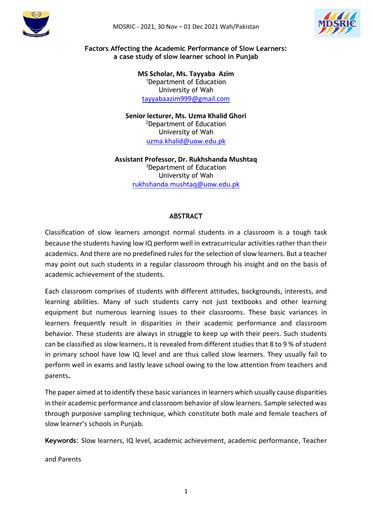



#### **Factors Affecting the Academic Performance of Slow Learners: a case study of slow learner school in Punjab**

**MS Scholar, Ms. Tayyaba Azim** <sup>1</sup>Department of Education University of Wah [tayyabaazim999@gmail.com](mailto:tayyabaazim999@gmail.com)

**Senior lecturer, Ms. Uzma Khalid Ghori** <sup>2</sup>Department of Education University of Wah [uzma.khalid@uow.edu.pk](mailto:uzma.khalid@uow.edu.pk)

**Assistant Professor, Dr. Rukhshanda Mushtaq** <sup>3</sup>Department of Education University of Wah [rukhshanda.mushtaq@uow.edu.pk](mailto:rukhshanda.mushtaq@uow.edu.pk)

### **ABSTRACT**

Classification of slow learners amongst normal students in a classroom is a tough task because the students having low IQ perform well in extracurricular activities rather than their academics. And there are no predefined rules for the selection of slow learners. But a teacher may point out such students in a regular classroom through his insight and on the basis of academic achievement of the students.

Each classroom comprises of students with different attitudes, backgrounds, interests, and learning abilities. Many of such students carry not just textbooks and other learning equipment but numerous learning issues to their classrooms. These basic variances in learners frequently result in disparities in their academic performance and classroom behavior. These students are always in struggle to keep up with their peers. Such students can be classified as slow learners**.** It is revealed from different studies that 8 to 9 % of student in primary school have low IQ level and are thus called slow learners. They usually fail to perform well in exams and lastly leave school owing to the low attention from teachers and parents**.** 

The paper aimed at to identify these basic variances in learners which usually cause disparities in their academic performance and classroom behavior of slow learners. Sample selected was through purposive sampling technique, which constitute both male and female teachers of slow learner's schools in Punjab.

**Keywords**: Slow learners, IQ level, academic achievement, academic performance, Teacher

and Parents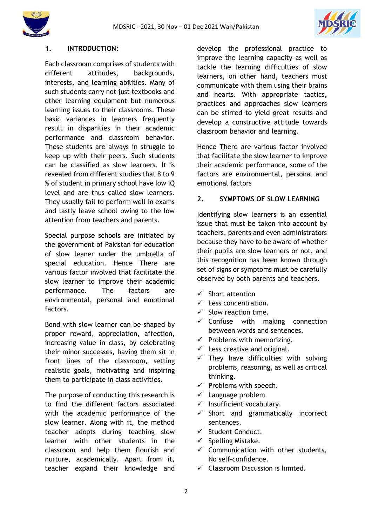



#### **1. INTRODUCTION:**

Each classroom comprises of students with different attitudes, backgrounds, interests, and learning abilities. Many of such students carry not just textbooks and other learning equipment but numerous learning issues to their classrooms. These basic variances in learners frequently result in disparities in their academic performance and classroom behavior. These students are always in struggle to keep up with their peers. Such students can be classified as slow learners. It is revealed from different studies that 8 to 9 % of student in primary school have low IQ level and are thus called slow learners. They usually fail to perform well in exams and lastly leave school owing to the low attention from teachers and parents.

Special purpose schools are initiated by the government of Pakistan for education of slow leaner under the umbrella of special education. Hence There are various factor involved that facilitate the slow learner to improve their academic performance. The factors are environmental, personal and emotional factors.

Bond with slow learner can be shaped by proper reward, appreciation, affection, increasing value in class, by celebrating their minor successes, having them sit in front lines of the classroom, setting realistic goals, motivating and inspiring them to participate in class activities.

The purpose of conducting this research is to find the different factors associated with the academic performance of the slow learner. Along with it, the method teacher adopts during teaching slow learner with other students in the classroom and help them flourish and nurture, academically. Apart from it, teacher expand their knowledge and

develop the professional practice to improve the learning capacity as well as tackle the learning difficulties of slow learners, on other hand, teachers must communicate with them using their brains and hearts. With appropriate tactics, practices and approaches slow learners can be stirred to yield great results and develop a constructive attitude towards classroom behavior and learning.

Hence There are various factor involved that facilitate the slow learner to improve their academic performance, some of the factors are environmental, personal and emotional factors

#### **2. SYMPTOMS OF SLOW LEARNING**

Identifying slow learners is an essential issue that must be taken into account by teachers, parents and even administrators because they have to be aware of whether their pupils are slow learners or not, and this recognition has been known through set of signs or symptoms must be carefully observed by both parents and teachers.

- $\checkmark$  Short attention
- $\checkmark$  Less concentration.
- $\checkmark$  Slow reaction time.
- $\checkmark$  Confuse with making connection between words and sentences.
- $\checkmark$  Problems with memorizing.
- $\checkmark$  Less creative and original.
- $\checkmark$  They have difficulties with solving problems, reasoning, as well as critical thinking.
- $\checkmark$  Problems with speech.
- $\checkmark$  Language problem
- $\checkmark$  Insufficient vocabulary.
- $\checkmark$  Short and grammatically incorrect sentences.
- $\checkmark$  Student Conduct.
- $\checkmark$  Spelling Mistake.
- $\checkmark$  Communication with other students, No self-confidence.
- $\checkmark$  Classroom Discussion is limited.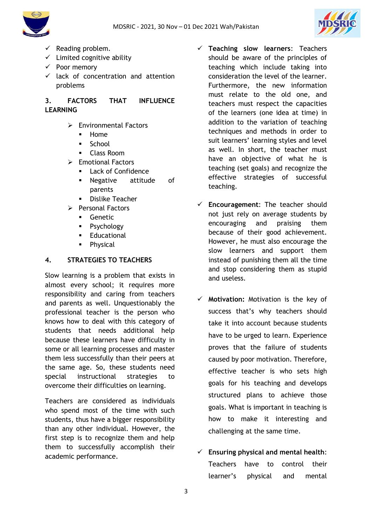



- $\checkmark$  Reading problem.
- $\checkmark$  Limited cognitive ability
- $\checkmark$  Poor memory
- $\checkmark$  lack of concentration and attention problems

## **3. FACTORS THAT INFLUENCE LEARNING**

- $\triangleright$  Environmental Factors
	- Home
	- **School**
	- Class Room
- $\triangleright$  Emotional Factors
	- Lack of Confidence
		- Negative attitude of parents
	- Dislike Teacher
- $\triangleright$  Personal Factors
	- **Genetic**
	- Psychology
	- **Educational**
	- **Physical**

### **4. STRATEGIES TO TEACHERS**

Slow learning is a problem that exists in almost every school; it requires more responsibility and caring from teachers and parents as well. Unquestionably the professional teacher is the person who knows how to deal with this category of students that needs additional help because these learners have difficulty in some or all learning processes and master them less successfully than their peers at the same age. So, these students need special instructional strategies to overcome their difficulties on learning.

Teachers are considered as individuals who spend most of the time with such students, thus have a bigger responsibility than any other individual. However, the first step is to recognize them and help them to successfully accomplish their academic performance.

 **Teaching slow learners**: Teachers should be aware of the principles of teaching which include taking into consideration the level of the learner. Furthermore, the new information must relate to the old one, and teachers must respect the capacities of the learners (one idea at time) in addition to the variation of teaching techniques and methods in order to suit learners' learning styles and level as well. In short, the teacher must have an objective of what he is teaching (set goals) and recognize the effective strategies of successful teaching.

- **Encouragement**: The teacher should not just rely on average students by encouraging and praising them because of their good achievement. However, he must also encourage the slow learners and support them instead of punishing them all the time and stop considering them as stupid and useless.
- **Motivation:** Motivation is the key of success that's why teachers should take it into account because students have to be urged to learn. Experience proves that the failure of students caused by poor motivation. Therefore, effective teacher is who sets high goals for his teaching and develops structured plans to achieve those goals. What is important in teaching is how to make it interesting and challenging at the same time.
- **Ensuring physical and mental health**: Teachers have to control their learner's physical and mental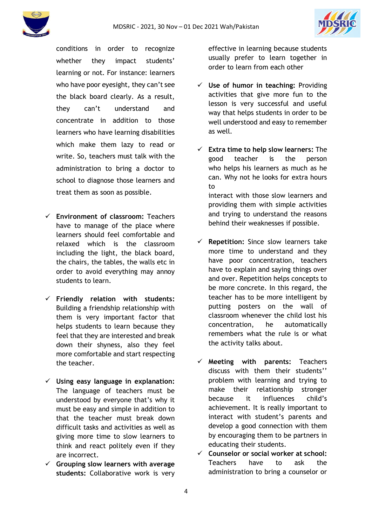

conditions in order to recognize whether they impact students' learning or not. For instance: learners who have poor eyesight, they can't see the black board clearly. As a result, they can't understand and concentrate in addition to those learners who have learning disabilities which make them lazy to read or write. So, teachers must talk with the administration to bring a doctor to school to diagnose those learners and treat them as soon as possible.

- **Environment of classroom:** Teachers have to manage of the place where learners should feel comfortable and relaxed which is the classroom including the light, the black board, the chairs, the tables, the walls etc in order to avoid everything may annoy students to learn.
- **Friendly relation with students:** Building a friendship relationship with them is very important factor that helps students to learn because they feel that they are interested and break down their shyness, also they feel more comfortable and start respecting the teacher.
- **Using easy language in explanation:** The language of teachers must be understood by everyone that's why it must be easy and simple in addition to that the teacher must break down difficult tasks and activities as well as giving more time to slow learners to think and react politely even if they are incorrect.
- **Grouping slow learners with average students:** Collaborative work is very

effective in learning because students usually prefer to learn together in order to learn from each other

- **Use of humor in teaching:** Providing activities that give more fun to the lesson is very successful and useful way that helps students in order to be well understood and easy to remember as well.
- **Extra time to help slow learners:** The good teacher is the person who helps his learners as much as he can. Why not he looks for extra hours to interact with those slow learners and providing them with simple activities and trying to understand the reasons behind their weaknesses if possible.
- **Repetition:** Since slow learners take more time to understand and they have poor concentration, teachers have to explain and saying things over and over. Repetition helps concepts to be more concrete. In this regard, the teacher has to be more intelligent by putting posters on the wall of classroom whenever the child lost his concentration, he automatically remembers what the rule is or what the activity talks about.
- **Meeting with parents:** Teachers discuss with them their students'' problem with learning and trying to make their relationship stronger because it influences child's achievement. It is really important to interact with student's parents and develop a good connection with them by encouraging them to be partners in educating their students.
- **Counselor or social worker at school:** Teachers have to ask the administration to bring a counselor or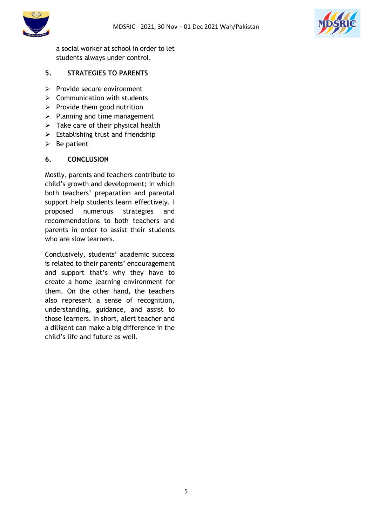



a social worker at school in order to let students always under control.

## **5. STRATEGIES TO PARENTS**

- $\triangleright$  Provide secure environment
- $\triangleright$  Communication with students
- $\triangleright$  Provide them good nutrition
- $\triangleright$  Planning and time management
- $\triangleright$  Take care of their physical health
- $\triangleright$  Establishing trust and friendship
- $\triangleright$  Be patient

### **6. CONCLUSION**

Mostly, parents and teachers contribute to child's growth and development; in which both teachers' preparation and parental support help students learn effectively. I proposed numerous strategies and recommendations to both teachers and parents in order to assist their students who are slow learners.

Conclusively, students' academic success is related to their parents' encouragement and support that's why they have to create a home learning environment for them. On the other hand, the teachers also represent a sense of recognition, understanding, guidance, and assist to those learners. In short, alert teacher and a diligent can make a big difference in the child's life and future as well.